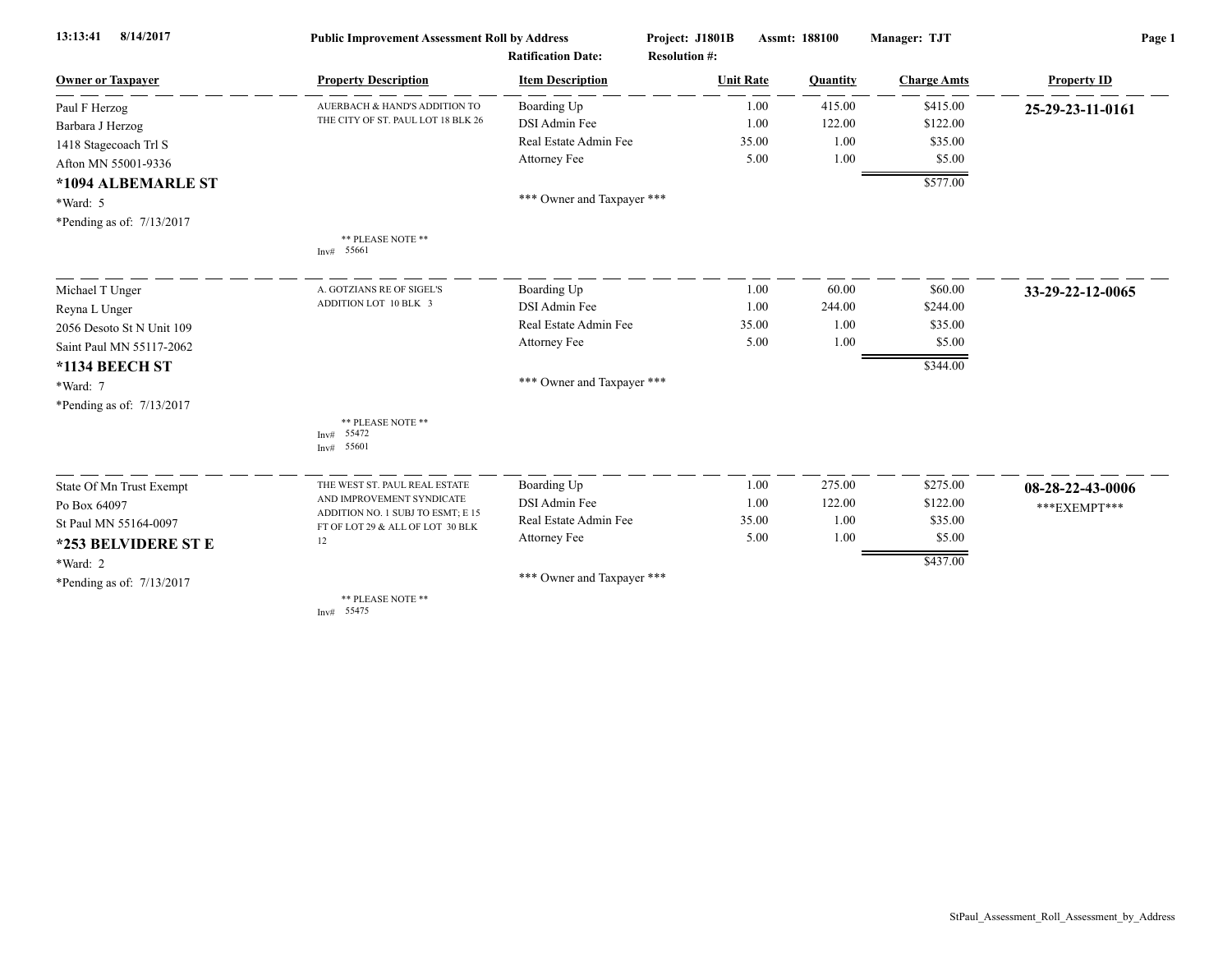| 8/14/2017<br>13:13:41     | <b>Public Improvement Assessment Roll by Address</b><br><b>Ratification Date:</b> |                            | Project: J1801B<br>Assmt: 188100<br><b>Resolution #:</b> |          | Manager: TJT       | Page 1             |  |
|---------------------------|-----------------------------------------------------------------------------------|----------------------------|----------------------------------------------------------|----------|--------------------|--------------------|--|
| <b>Owner or Taxpayer</b>  | <b>Property Description</b>                                                       | <b>Item Description</b>    | <b>Unit Rate</b>                                         | Quantity | <b>Charge Amts</b> | <b>Property ID</b> |  |
| Paul F Herzog             | AUERBACH & HAND'S ADDITION TO                                                     | Boarding Up                | 1.00                                                     | 415.00   | \$415.00           | 25-29-23-11-0161   |  |
| Barbara J Herzog          | THE CITY OF ST. PAUL LOT 18 BLK 26                                                | DSI Admin Fee              | 1.00                                                     | 122.00   | \$122.00           |                    |  |
| 1418 Stagecoach Trl S     |                                                                                   | Real Estate Admin Fee      | 35.00                                                    | 1.00     | \$35.00            |                    |  |
| Afton MN 55001-9336       |                                                                                   | Attorney Fee               | 5.00                                                     | 1.00     | \$5.00             |                    |  |
| *1094 ALBEMARLE ST        |                                                                                   |                            |                                                          |          | \$577.00           |                    |  |
| *Ward: 5                  |                                                                                   | *** Owner and Taxpayer *** |                                                          |          |                    |                    |  |
| *Pending as of: 7/13/2017 |                                                                                   |                            |                                                          |          |                    |                    |  |
|                           | ** PLEASE NOTE **<br>Inv# 55661                                                   |                            |                                                          |          |                    |                    |  |
| Michael T Unger           | A. GOTZIANS RE OF SIGEL'S                                                         | Boarding Up                | 1.00                                                     | 60.00    | \$60.00            | 33-29-22-12-0065   |  |
| Reyna L Unger             | ADDITION LOT 10 BLK 3                                                             | DSI Admin Fee              | 1.00                                                     | 244.00   | \$244.00           |                    |  |
| 2056 Desoto St N Unit 109 |                                                                                   | Real Estate Admin Fee      | 35.00                                                    | 1.00     | \$35.00            |                    |  |
| Saint Paul MN 55117-2062  |                                                                                   | Attorney Fee               | 5.00                                                     | 1.00     | \$5.00             |                    |  |
| *1134 BEECH ST            |                                                                                   |                            |                                                          |          | \$344.00           |                    |  |
| *Ward: 7                  |                                                                                   | *** Owner and Taxpayer *** |                                                          |          |                    |                    |  |
| *Pending as of: 7/13/2017 |                                                                                   |                            |                                                          |          |                    |                    |  |
|                           | ** PLEASE NOTE **<br>55472<br>Inv#<br>55601<br>Inv#                               |                            |                                                          |          |                    |                    |  |
| State Of Mn Trust Exempt  | THE WEST ST. PAUL REAL ESTATE                                                     | Boarding Up                | 1.00                                                     | 275.00   | \$275.00           | 08-28-22-43-0006   |  |
| Po Box 64097              | AND IMPROVEMENT SYNDICATE                                                         | DSI Admin Fee              | 1.00                                                     | 122.00   | \$122.00           | ***EXEMPT***       |  |
| St Paul MN 55164-0097     | ADDITION NO. 1 SUBJ TO ESMT; E 15<br>FT OF LOT 29 & ALL OF LOT 30 BLK             | Real Estate Admin Fee      | 35.00                                                    | 1.00     | \$35.00            |                    |  |
| *253 BELVIDERE ST E       | 12                                                                                | Attorney Fee               | 5.00                                                     | 1.00     | \$5.00             |                    |  |
| *Ward: 2                  |                                                                                   |                            |                                                          |          | \$437.00           |                    |  |
| *Pending as of: 7/13/2017 |                                                                                   | *** Owner and Taxpayer *** |                                                          |          |                    |                    |  |
|                           | ** PLEASE NOTE **<br>Inv# 55475                                                   |                            |                                                          |          |                    |                    |  |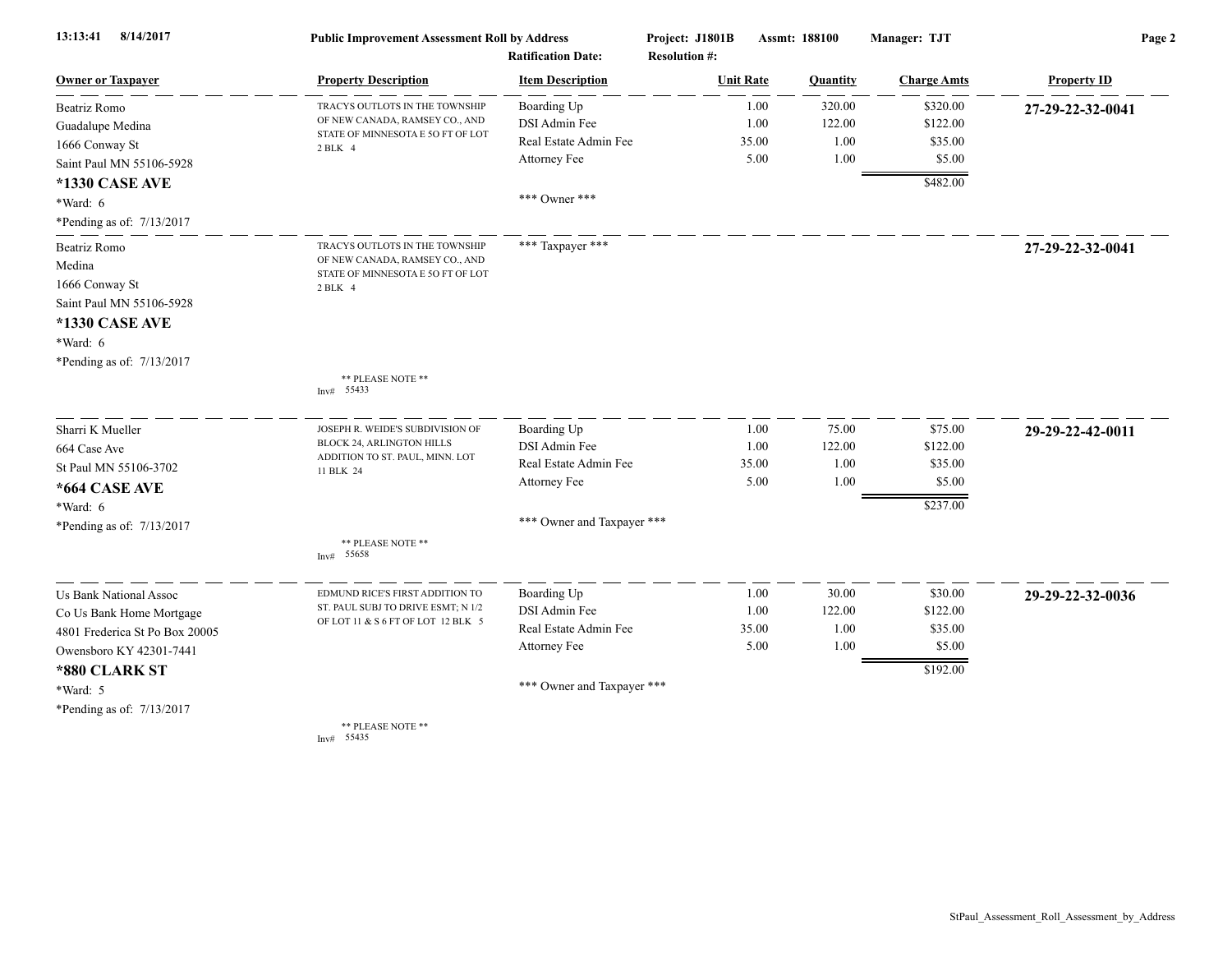| 13:13:41<br>8/14/2017          | <b>Public Improvement Assessment Roll by Address</b><br><b>Ratification Date:</b> |                            | Project: J1801B<br>Assmt: 188100<br><b>Resolution #:</b> |       |          | Manager: TJT       | Page 2             |  |
|--------------------------------|-----------------------------------------------------------------------------------|----------------------------|----------------------------------------------------------|-------|----------|--------------------|--------------------|--|
| <b>Owner or Taxpayer</b>       | <b>Property Description</b>                                                       | <b>Item Description</b>    | <b>Unit Rate</b>                                         |       | Quantity | <b>Charge Amts</b> | <b>Property ID</b> |  |
| Beatriz Romo                   | TRACYS OUTLOTS IN THE TOWNSHIP                                                    | Boarding Up                |                                                          | 1.00  | 320.00   | \$320.00           | 27-29-22-32-0041   |  |
| Guadalupe Medina               | OF NEW CANADA, RAMSEY CO., AND                                                    | DSI Admin Fee              |                                                          | 1.00  | 122.00   | \$122.00           |                    |  |
| 1666 Conway St                 | STATE OF MINNESOTA E 50 FT OF LOT<br>2 BLK 4                                      | Real Estate Admin Fee      |                                                          | 35.00 | 1.00     | \$35.00            |                    |  |
| Saint Paul MN 55106-5928       |                                                                                   | Attorney Fee               |                                                          | 5.00  | 1.00     | \$5.00             |                    |  |
| <b>*1330 CASE AVE</b>          |                                                                                   |                            |                                                          |       |          | \$482.00           |                    |  |
| *Ward: 6                       |                                                                                   | *** Owner ***              |                                                          |       |          |                    |                    |  |
| *Pending as of: 7/13/2017      |                                                                                   |                            |                                                          |       |          |                    |                    |  |
| Beatriz Romo                   | TRACYS OUTLOTS IN THE TOWNSHIP                                                    | *** Taxpayer ***           |                                                          |       |          |                    | 27-29-22-32-0041   |  |
| Medina                         | OF NEW CANADA, RAMSEY CO., AND<br>STATE OF MINNESOTA E 50 FT OF LOT               |                            |                                                          |       |          |                    |                    |  |
| 1666 Conway St                 | 2 BLK 4                                                                           |                            |                                                          |       |          |                    |                    |  |
| Saint Paul MN 55106-5928       |                                                                                   |                            |                                                          |       |          |                    |                    |  |
| <b>*1330 CASE AVE</b>          |                                                                                   |                            |                                                          |       |          |                    |                    |  |
| *Ward: 6                       |                                                                                   |                            |                                                          |       |          |                    |                    |  |
| *Pending as of: 7/13/2017      |                                                                                   |                            |                                                          |       |          |                    |                    |  |
|                                | ** PLEASE NOTE **<br>Inv# 55433                                                   |                            |                                                          |       |          |                    |                    |  |
| Sharri K Mueller               | JOSEPH R. WEIDE'S SUBDIVISION OF                                                  | Boarding Up                |                                                          | 1.00  | 75.00    | \$75.00            | 29-29-22-42-0011   |  |
| 664 Case Ave                   | BLOCK 24, ARLINGTON HILLS                                                         | DSI Admin Fee              |                                                          | 1.00  | 122.00   | \$122.00           |                    |  |
| St Paul MN 55106-3702          | ADDITION TO ST. PAUL, MINN. LOT<br>11 BLK 24                                      | Real Estate Admin Fee      |                                                          | 35.00 | 1.00     | \$35.00            |                    |  |
| *664 CASE AVE                  |                                                                                   | Attorney Fee               |                                                          | 5.00  | 1.00     | \$5.00             |                    |  |
| *Ward: 6                       |                                                                                   |                            |                                                          |       |          | \$237.00           |                    |  |
| *Pending as of: 7/13/2017      |                                                                                   | *** Owner and Taxpayer *** |                                                          |       |          |                    |                    |  |
|                                | ** PLEASE NOTE **                                                                 |                            |                                                          |       |          |                    |                    |  |
|                                | Inv# 55658                                                                        |                            |                                                          |       |          |                    |                    |  |
| <b>Us Bank National Assoc</b>  | EDMUND RICE'S FIRST ADDITION TO                                                   | Boarding Up                |                                                          | 1.00  | 30.00    | \$30.00            | 29-29-22-32-0036   |  |
| Co Us Bank Home Mortgage       | ST. PAUL SUBJ TO DRIVE ESMT; N 1/2                                                | DSI Admin Fee              |                                                          | 1.00  | 122.00   | \$122.00           |                    |  |
| 4801 Frederica St Po Box 20005 | OF LOT 11 & S 6 FT OF LOT 12 BLK 5                                                | Real Estate Admin Fee      |                                                          | 35.00 | 1.00     | \$35.00            |                    |  |
| Owensboro KY 42301-7441        |                                                                                   | Attorney Fee               |                                                          | 5.00  | 1.00     | \$5.00             |                    |  |
| *880 CLARK ST                  |                                                                                   |                            |                                                          |       |          | \$192.00           |                    |  |
| *Ward: 5                       |                                                                                   | *** Owner and Taxpayer *** |                                                          |       |          |                    |                    |  |
| *Pending as of: 7/13/2017      |                                                                                   |                            |                                                          |       |          |                    |                    |  |
|                                | ** PLEASE NOTE **<br>Inv# 55435                                                   |                            |                                                          |       |          |                    |                    |  |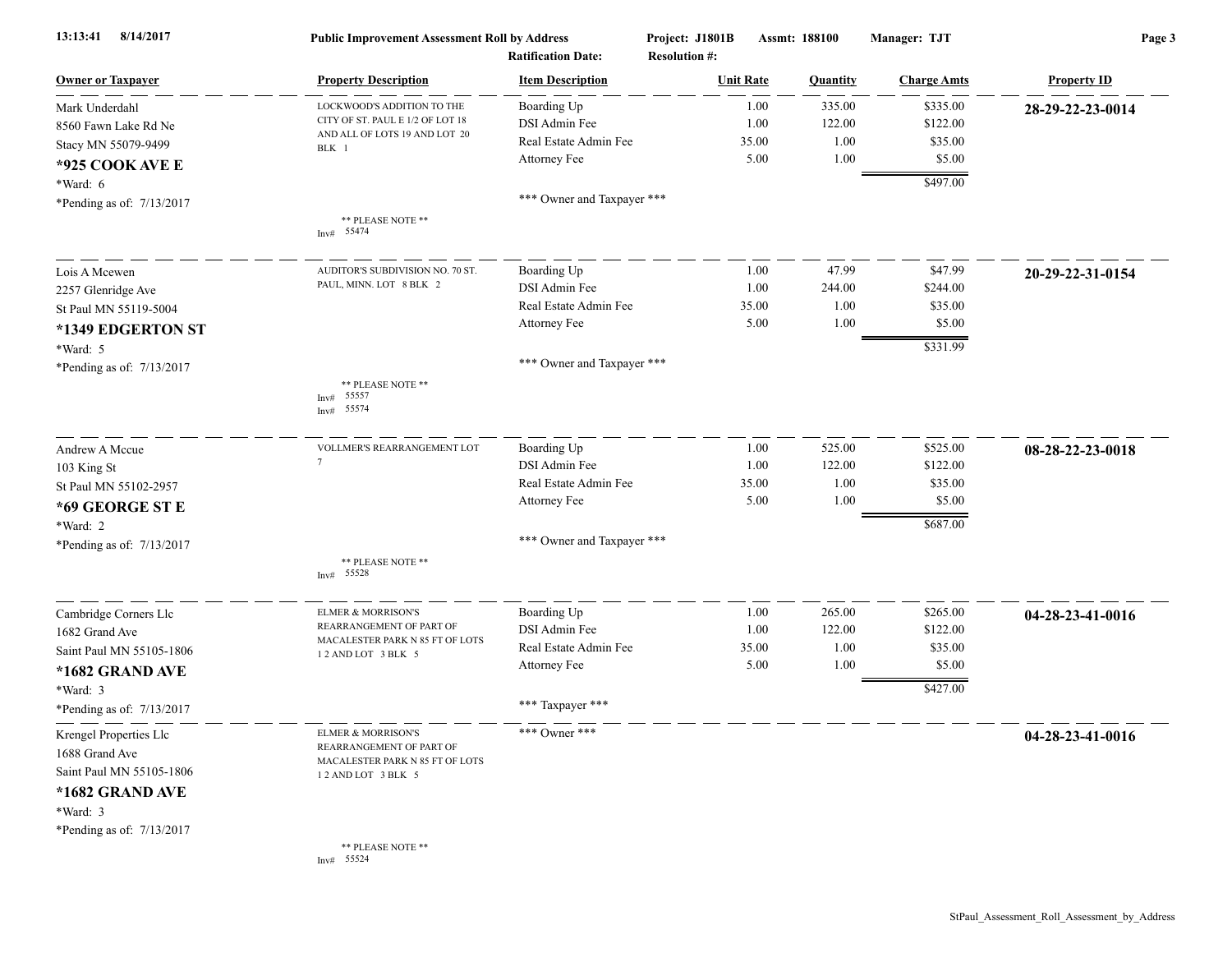| 13:13:41<br>8/14/2017                    | <b>Public Improvement Assessment Roll by Address</b><br><b>Ratification Date:</b> |                            | Project: J1801B<br>Assmt: 188100<br><b>Resolution #:</b> |                  | Manager: TJT | Page 3             |                    |
|------------------------------------------|-----------------------------------------------------------------------------------|----------------------------|----------------------------------------------------------|------------------|--------------|--------------------|--------------------|
| <b>Owner or Taxpayer</b>                 | <b>Property Description</b>                                                       | <b>Item Description</b>    |                                                          | <b>Unit Rate</b> | Quantity     | <b>Charge Amts</b> | <b>Property ID</b> |
| Mark Underdahl                           | LOCKWOOD'S ADDITION TO THE                                                        | Boarding Up                |                                                          | 1.00             | 335.00       | \$335.00           | 28-29-22-23-0014   |
| 8560 Fawn Lake Rd Ne                     | CITY OF ST. PAUL E 1/2 OF LOT 18                                                  | DSI Admin Fee              |                                                          | 1.00             | 122.00       | \$122.00           |                    |
| Stacy MN 55079-9499                      | AND ALL OF LOTS 19 AND LOT 20<br>BLK 1                                            | Real Estate Admin Fee      |                                                          | 35.00            | 1.00         | \$35.00            |                    |
| *925 COOK AVE E                          |                                                                                   | Attorney Fee               |                                                          | 5.00             | 1.00         | \$5.00             |                    |
| *Ward: 6                                 |                                                                                   |                            |                                                          |                  |              | \$497.00           |                    |
| *Pending as of: 7/13/2017                |                                                                                   | *** Owner and Taxpayer *** |                                                          |                  |              |                    |                    |
|                                          | ** PLEASE NOTE **<br>Inv# $55474$                                                 |                            |                                                          |                  |              |                    |                    |
| Lois A Mcewen                            | AUDITOR'S SUBDIVISION NO. 70 ST.                                                  | Boarding Up                |                                                          | 1.00             | 47.99        | \$47.99            | 20-29-22-31-0154   |
| 2257 Glenridge Ave                       | PAUL, MINN. LOT 8 BLK 2                                                           | DSI Admin Fee              |                                                          | 1.00             | 244.00       | \$244.00           |                    |
| St Paul MN 55119-5004                    |                                                                                   | Real Estate Admin Fee      |                                                          | 35.00            | 1.00         | \$35.00            |                    |
| *1349 EDGERTON ST                        |                                                                                   | Attorney Fee               |                                                          | 5.00             | 1.00         | \$5.00             |                    |
| *Ward: 5                                 |                                                                                   |                            |                                                          |                  |              | \$331.99           |                    |
| *Pending as of: 7/13/2017                |                                                                                   | *** Owner and Taxpayer *** |                                                          |                  |              |                    |                    |
|                                          | ** PLEASE NOTE **<br>55557<br>Inv#<br>55574<br>Inv#                               |                            |                                                          |                  |              |                    |                    |
| Andrew A Mccue                           | VOLLMER'S REARRANGEMENT LOT                                                       | Boarding Up                |                                                          | 1.00             | 525.00       | \$525.00           | 08-28-22-23-0018   |
| 103 King St                              | $7\overline{ }$                                                                   | DSI Admin Fee              |                                                          | 1.00             | 122.00       | \$122.00           |                    |
| St Paul MN 55102-2957                    |                                                                                   | Real Estate Admin Fee      |                                                          | 35.00            | 1.00         | \$35.00            |                    |
| *69 GEORGE ST E                          |                                                                                   | Attorney Fee               |                                                          | 5.00             | 1.00         | \$5.00             |                    |
| *Ward: 2                                 |                                                                                   |                            |                                                          |                  |              | \$687.00           |                    |
| *Pending as of: 7/13/2017                |                                                                                   | *** Owner and Taxpayer *** |                                                          |                  |              |                    |                    |
|                                          | ** PLEASE NOTE **<br>Inv# 55528                                                   |                            |                                                          |                  |              |                    |                    |
| Cambridge Corners Llc                    | ELMER & MORRISON'S                                                                | Boarding Up                |                                                          | 1.00             | 265.00       | \$265.00           | 04-28-23-41-0016   |
| 1682 Grand Ave                           | REARRANGEMENT OF PART OF<br>MACALESTER PARK N 85 FT OF LOTS                       | DSI Admin Fee              |                                                          | 1.00             | 122.00       | \$122.00           |                    |
| Saint Paul MN 55105-1806                 | 12 AND LOT 3 BLK 5                                                                | Real Estate Admin Fee      |                                                          | 35.00            | 1.00         | \$35.00            |                    |
| *1682 GRAND AVE                          |                                                                                   | Attorney Fee               |                                                          | 5.00             | 1.00         | \$5.00             |                    |
| *Ward: 3                                 |                                                                                   |                            |                                                          |                  |              | \$427.00           |                    |
| *Pending as of: 7/13/2017                |                                                                                   | *** Taxpayer ***           |                                                          |                  |              |                    |                    |
| Krengel Properties Llc<br>1688 Grand Ave | ELMER & MORRISON'S<br>REARRANGEMENT OF PART OF<br>MACALESTER PARK N 85 FT OF LOTS | *** Owner ***              |                                                          |                  |              |                    | 04-28-23-41-0016   |
| Saint Paul MN 55105-1806                 | 12 AND LOT 3 BLK 5                                                                |                            |                                                          |                  |              |                    |                    |
| *1682 GRAND AVE                          |                                                                                   |                            |                                                          |                  |              |                    |                    |
| *Ward: 3                                 |                                                                                   |                            |                                                          |                  |              |                    |                    |
| *Pending as of: 7/13/2017                |                                                                                   |                            |                                                          |                  |              |                    |                    |
|                                          | ** PLEASE NOTE **<br>Inv# 55524                                                   |                            |                                                          |                  |              |                    |                    |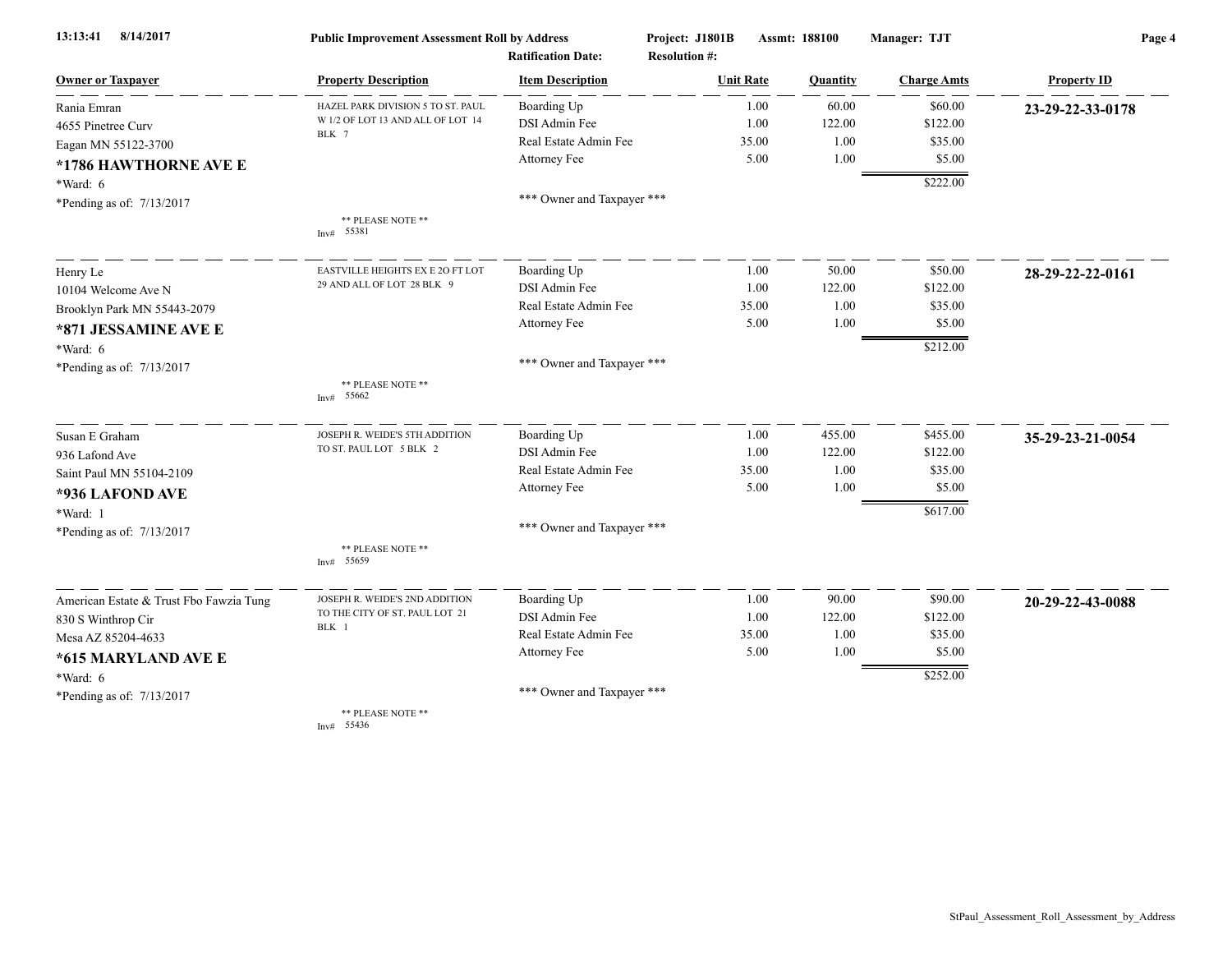| 8/14/2017<br>13:13:41                   | <b>Public Improvement Assessment Roll by Address</b> |                                                      | Project: J1801B                          | Assmt: 188100 |          | Manager: TJT       | Page 4             |  |
|-----------------------------------------|------------------------------------------------------|------------------------------------------------------|------------------------------------------|---------------|----------|--------------------|--------------------|--|
| <b>Owner or Taxpayer</b>                | <b>Property Description</b>                          | <b>Ratification Date:</b><br><b>Item Description</b> | <b>Resolution #:</b><br><b>Unit Rate</b> |               | Quantity | <b>Charge Amts</b> | <b>Property ID</b> |  |
| Rania Emran                             | HAZEL PARK DIVISION 5 TO ST. PAUL                    | Boarding Up                                          |                                          | 1.00          | 60.00    | \$60.00            | 23-29-22-33-0178   |  |
| 4655 Pinetree Curv                      | W 1/2 OF LOT 13 AND ALL OF LOT 14                    | DSI Admin Fee                                        |                                          | 1.00          | 122.00   | \$122.00           |                    |  |
| Eagan MN 55122-3700                     | BLK 7                                                | Real Estate Admin Fee                                |                                          | 35.00         | 1.00     | \$35.00            |                    |  |
| *1786 HAWTHORNE AVE E                   |                                                      | Attorney Fee                                         |                                          | 5.00          | 1.00     | \$5.00             |                    |  |
| $*Ward: 6$                              |                                                      |                                                      |                                          |               |          | \$222.00           |                    |  |
| *Pending as of: 7/13/2017               |                                                      | *** Owner and Taxpayer ***                           |                                          |               |          |                    |                    |  |
|                                         | ** PLEASE NOTE **<br>Inv# 55381                      |                                                      |                                          |               |          |                    |                    |  |
| Henry Le                                | EASTVILLE HEIGHTS EX E 2O FT LOT                     | Boarding Up                                          |                                          | 1.00          | 50.00    | \$50.00            | 28-29-22-22-0161   |  |
| 10104 Welcome Ave N                     | 29 AND ALL OF LOT 28 BLK 9                           | DSI Admin Fee                                        |                                          | 1.00          | 122.00   | \$122.00           |                    |  |
| Brooklyn Park MN 55443-2079             |                                                      | Real Estate Admin Fee                                |                                          | 35.00         | 1.00     | \$35.00            |                    |  |
| *871 JESSAMINE AVE E                    |                                                      | Attorney Fee                                         |                                          | 5.00          | 1.00     | \$5.00             |                    |  |
| $*Ward: 6$                              |                                                      |                                                      |                                          |               |          | \$212.00           |                    |  |
| *Pending as of: 7/13/2017               |                                                      | *** Owner and Taxpayer ***                           |                                          |               |          |                    |                    |  |
|                                         | ** PLEASE NOTE **<br>Inv# 55662                      |                                                      |                                          |               |          |                    |                    |  |
| Susan E Graham                          | JOSEPH R. WEIDE'S 5TH ADDITION                       | Boarding Up                                          |                                          | 1.00          | 455.00   | \$455.00           | 35-29-23-21-0054   |  |
| 936 Lafond Ave                          | TO ST. PAUL LOT 5 BLK 2                              | DSI Admin Fee                                        |                                          | 1.00          | 122.00   | \$122.00           |                    |  |
| Saint Paul MN 55104-2109                |                                                      | Real Estate Admin Fee                                |                                          | 35.00         | 1.00     | \$35.00            |                    |  |
| *936 LAFOND AVE                         |                                                      | Attorney Fee                                         |                                          | 5.00          | 1.00     | \$5.00             |                    |  |
| *Ward: 1                                |                                                      |                                                      |                                          |               |          | \$617.00           |                    |  |
| *Pending as of: 7/13/2017               |                                                      | *** Owner and Taxpayer ***                           |                                          |               |          |                    |                    |  |
|                                         | ** PLEASE NOTE **<br>Inv# 55659                      |                                                      |                                          |               |          |                    |                    |  |
| American Estate & Trust Fbo Fawzia Tung | JOSEPH R. WEIDE'S 2ND ADDITION                       | Boarding Up                                          |                                          | 1.00          | 90.00    | \$90.00            | 20-29-22-43-0088   |  |
| 830 S Winthrop Cir                      | TO THE CITY OF ST. PAUL LOT 21                       | DSI Admin Fee                                        |                                          | 1.00          | 122.00   | \$122.00           |                    |  |
| Mesa AZ 85204-4633                      | BLK 1                                                | Real Estate Admin Fee                                |                                          | 35.00         | 1.00     | \$35.00            |                    |  |
| *615 MARYLAND AVE E                     |                                                      | Attorney Fee                                         |                                          | 5.00          | 1.00     | \$5.00             |                    |  |
| $*Ward: 6$                              |                                                      |                                                      |                                          |               |          | \$252.00           |                    |  |
| *Pending as of: 7/13/2017               |                                                      | *** Owner and Taxpayer ***                           |                                          |               |          |                    |                    |  |
|                                         | ** PLEASE NOTE **                                    |                                                      |                                          |               |          |                    |                    |  |

Inv# 55436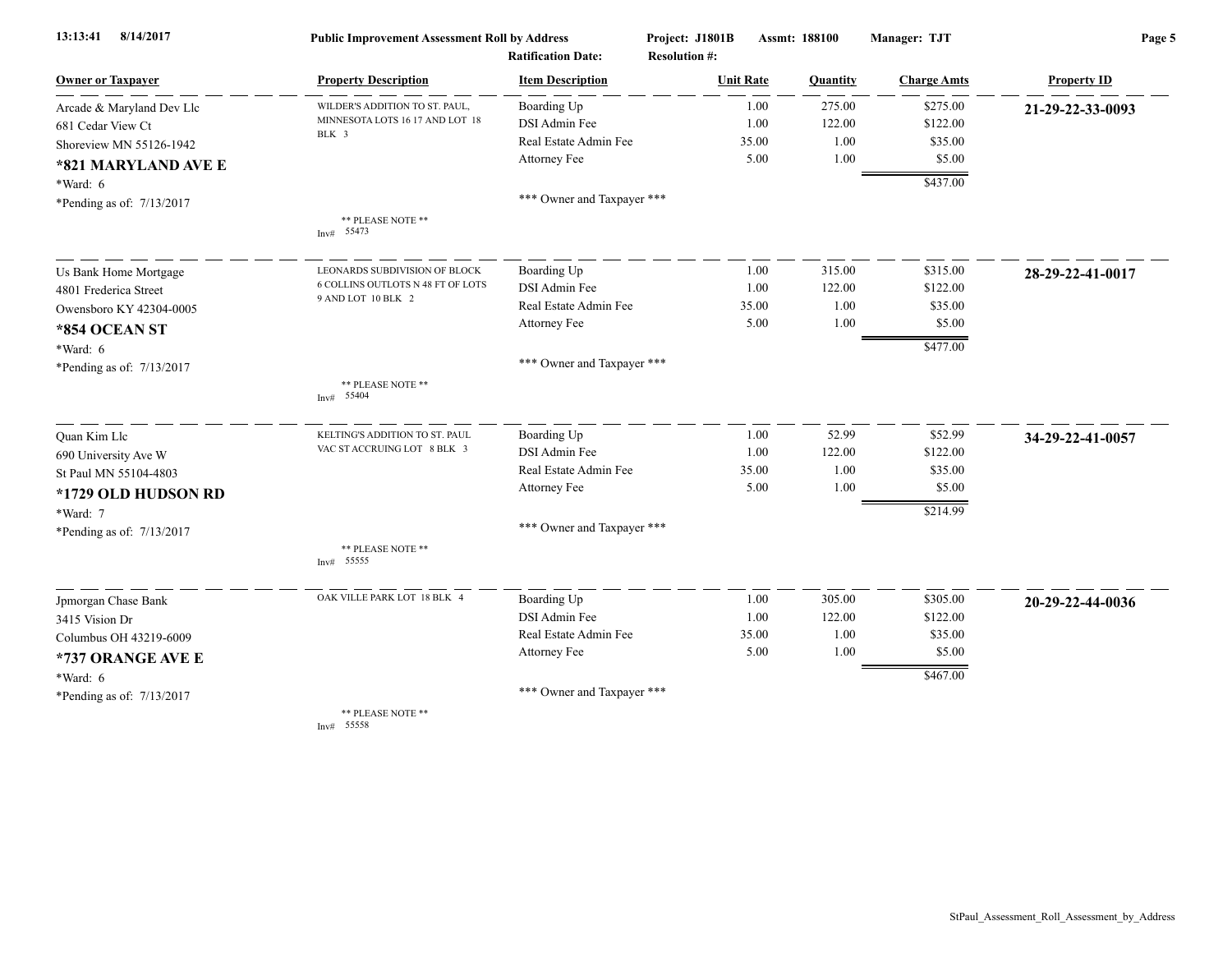| 8/14/2017<br>13:13:41       | <b>Public Improvement Assessment Roll by Address</b> |                                                      | Project: J1801B                          | <b>Assmt: 188100</b> | Manager: TJT       | Page 5             |  |
|-----------------------------|------------------------------------------------------|------------------------------------------------------|------------------------------------------|----------------------|--------------------|--------------------|--|
| <b>Owner or Taxpayer</b>    | <b>Property Description</b>                          | <b>Ratification Date:</b><br><b>Item Description</b> | <b>Resolution #:</b><br><b>Unit Rate</b> | Quantity             | <b>Charge Amts</b> | <b>Property ID</b> |  |
| Arcade & Maryland Dev Llc   | WILDER'S ADDITION TO ST. PAUL,                       | Boarding Up                                          | 1.00                                     | 275.00               | \$275.00           | 21-29-22-33-0093   |  |
| 681 Cedar View Ct           | MINNESOTA LOTS 16 17 AND LOT 18                      | DSI Admin Fee                                        | 1.00                                     | 122.00               | \$122.00           |                    |  |
| Shoreview MN 55126-1942     | BLK 3                                                | Real Estate Admin Fee                                | 35.00                                    | 1.00                 | \$35.00            |                    |  |
| *821 MARYLAND AVE E         |                                                      | Attorney Fee                                         | 5.00                                     | 1.00                 | \$5.00             |                    |  |
| *Ward: 6                    |                                                      |                                                      |                                          |                      | \$437.00           |                    |  |
| *Pending as of: 7/13/2017   |                                                      | *** Owner and Taxpayer ***                           |                                          |                      |                    |                    |  |
|                             | ** PLEASE NOTE **<br>Inv# 55473                      |                                                      |                                          |                      |                    |                    |  |
| Us Bank Home Mortgage       | LEONARDS SUBDIVISION OF BLOCK                        | Boarding Up                                          | 1.00                                     | 315.00               | \$315.00           | 28-29-22-41-0017   |  |
| 4801 Frederica Street       | 6 COLLINS OUTLOTS N 48 FT OF LOTS                    | DSI Admin Fee                                        | 1.00                                     | 122.00               | \$122.00           |                    |  |
| Owensboro KY 42304-0005     | 9 AND LOT 10 BLK 2                                   | Real Estate Admin Fee                                | 35.00                                    | 1.00                 | \$35.00            |                    |  |
| *854 OCEAN ST               |                                                      | Attorney Fee                                         | 5.00                                     | 1.00                 | \$5.00             |                    |  |
| *Ward: 6                    |                                                      |                                                      |                                          |                      | \$477.00           |                    |  |
| *Pending as of: 7/13/2017   |                                                      | *** Owner and Taxpayer ***                           |                                          |                      |                    |                    |  |
|                             | ** PLEASE NOTE **<br>Inv# 55404                      |                                                      |                                          |                      |                    |                    |  |
| Quan Kim Llc                | KELTING'S ADDITION TO ST. PAUL                       | Boarding Up                                          | 1.00                                     | 52.99                | \$52.99            | 34-29-22-41-0057   |  |
| 690 University Ave W        | VAC ST ACCRUING LOT 8 BLK 3                          | DSI Admin Fee                                        | 1.00                                     | 122.00               | \$122.00           |                    |  |
| St Paul MN 55104-4803       |                                                      | Real Estate Admin Fee                                | 35.00                                    | 1.00                 | \$35.00            |                    |  |
| *1729 OLD HUDSON RD         |                                                      | Attorney Fee                                         | 5.00                                     | 1.00                 | \$5.00             |                    |  |
| *Ward: 7                    |                                                      |                                                      |                                          |                      | \$214.99           |                    |  |
| *Pending as of: 7/13/2017   |                                                      | *** Owner and Taxpayer ***                           |                                          |                      |                    |                    |  |
|                             | ** PLEASE NOTE **<br>Inv# 55555                      |                                                      |                                          |                      |                    |                    |  |
| Jpmorgan Chase Bank         | OAK VILLE PARK LOT 18 BLK 4                          | Boarding Up                                          | 1.00                                     | 305.00               | \$305.00           | 20-29-22-44-0036   |  |
| 3415 Vision Dr              |                                                      | DSI Admin Fee                                        | 1.00                                     | 122.00               | \$122.00           |                    |  |
| Columbus OH 43219-6009      |                                                      | Real Estate Admin Fee                                | 35.00                                    | 1.00                 | \$35.00            |                    |  |
| *737 ORANGE AVE E           |                                                      | Attorney Fee                                         | 5.00                                     | 1.00                 | \$5.00             |                    |  |
| *Ward: 6                    |                                                      |                                                      |                                          |                      | \$467.00           |                    |  |
| *Pending as of: $7/13/2017$ |                                                      | *** Owner and Taxpayer ***                           |                                          |                      |                    |                    |  |
|                             | ** PLEASE NOTE **                                    |                                                      |                                          |                      |                    |                    |  |

Inv# 55558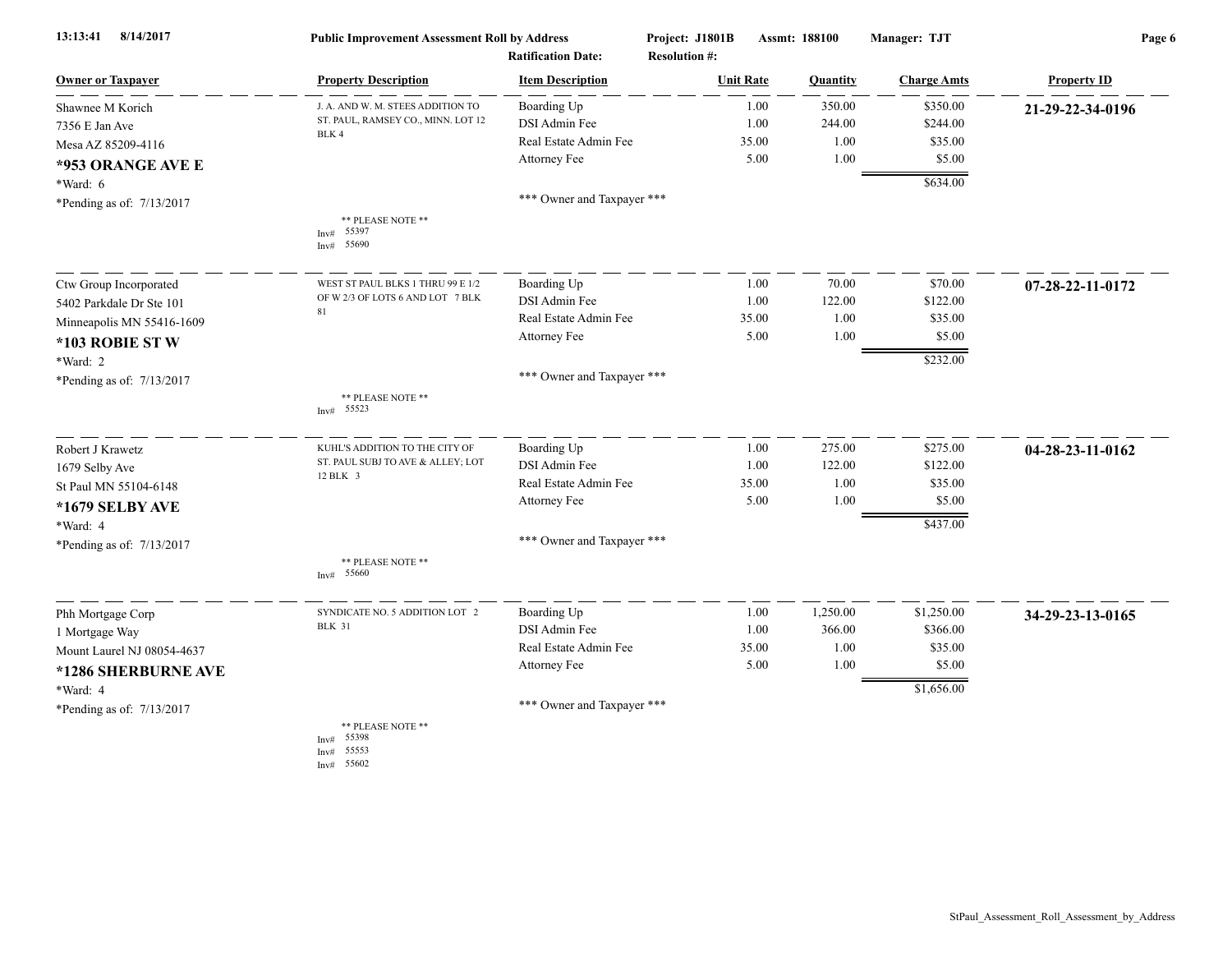| 8/14/2017<br>13:13:41      | <b>Public Improvement Assessment Roll by Address</b> |                            | Project: J1801B      | Assmt: 188100 |          | Manager: TJT       | Page 6                     |  |
|----------------------------|------------------------------------------------------|----------------------------|----------------------|---------------|----------|--------------------|----------------------------|--|
|                            |                                                      | <b>Ratification Date:</b>  | <b>Resolution #:</b> |               |          |                    |                            |  |
| <b>Owner or Taxpayer</b>   | <b>Property Description</b>                          | <b>Item Description</b>    | <b>Unit Rate</b>     |               | Quantity | <b>Charge Amts</b> | <b>Property ID</b>         |  |
| Shawnee M Korich           | J. A. AND W. M. STEES ADDITION TO                    | Boarding Up                |                      | 1.00          | 350.00   | \$350.00           | 21-29-22-34-0196           |  |
| 7356 E Jan Ave             | ST. PAUL, RAMSEY CO., MINN. LOT 12<br>BLK 4          | DSI Admin Fee              |                      | 1.00          | 244.00   | \$244.00           |                            |  |
| Mesa AZ 85209-4116         |                                                      | Real Estate Admin Fee      |                      | 35.00         | 1.00     | \$35.00            |                            |  |
| *953 ORANGE AVE E          |                                                      | Attorney Fee               |                      | 5.00          | 1.00     | \$5.00             |                            |  |
| *Ward: 6                   |                                                      |                            |                      |               |          | \$634.00           |                            |  |
| *Pending as of: 7/13/2017  |                                                      | *** Owner and Taxpayer *** |                      |               |          |                    |                            |  |
|                            | ** PLEASE NOTE **<br>55397<br>Inv#<br>55690<br>Inv#  |                            |                      |               |          |                    |                            |  |
| Ctw Group Incorporated     | WEST ST PAUL BLKS 1 THRU 99 E 1/2                    | Boarding Up                |                      | 1.00          | 70.00    | \$70.00            | $07 - 28 - 22 - 11 - 0172$ |  |
| 5402 Parkdale Dr Ste 101   | OF W 2/3 OF LOTS 6 AND LOT 7 BLK                     | DSI Admin Fee              |                      | 1.00          | 122.00   | \$122.00           |                            |  |
| Minneapolis MN 55416-1609  | 81                                                   | Real Estate Admin Fee      |                      | 35.00         | 1.00     | \$35.00            |                            |  |
| *103 ROBIE STW             |                                                      | Attorney Fee               |                      | 5.00          | 1.00     | \$5.00             |                            |  |
| *Ward: 2                   |                                                      |                            |                      |               |          | \$232.00           |                            |  |
| *Pending as of: 7/13/2017  |                                                      | *** Owner and Taxpayer *** |                      |               |          |                    |                            |  |
|                            | ** PLEASE NOTE **<br>55523<br>Inv#                   |                            |                      |               |          |                    |                            |  |
| Robert J Krawetz           | KUHL'S ADDITION TO THE CITY OF                       | Boarding Up                |                      | 1.00          | 275.00   | \$275.00           | 04-28-23-11-0162           |  |
| 1679 Selby Ave             | ST. PAUL SUBJ TO AVE & ALLEY; LOT                    | DSI Admin Fee              |                      | 1.00          | 122.00   | \$122.00           |                            |  |
| St Paul MN 55104-6148      | 12 BLK 3                                             | Real Estate Admin Fee      |                      | 35.00         | 1.00     | \$35.00            |                            |  |
| *1679 SELBY AVE            |                                                      | Attorney Fee               |                      | 5.00          | 1.00     | \$5.00             |                            |  |
| *Ward: 4                   |                                                      |                            |                      |               |          | \$437.00           |                            |  |
| *Pending as of: 7/13/2017  |                                                      | *** Owner and Taxpayer *** |                      |               |          |                    |                            |  |
|                            | ** PLEASE NOTE **<br>Inv# 55660                      |                            |                      |               |          |                    |                            |  |
| Phh Mortgage Corp          | SYNDICATE NO. 5 ADDITION LOT 2                       | Boarding Up                |                      | 1.00          | 1,250.00 | \$1,250.00         | 34-29-23-13-0165           |  |
| 1 Mortgage Way             | <b>BLK 31</b>                                        | DSI Admin Fee              |                      | 1.00          | 366.00   | \$366.00           |                            |  |
| Mount Laurel NJ 08054-4637 |                                                      | Real Estate Admin Fee      |                      | 35.00         | 1.00     | \$35.00            |                            |  |
| *1286 SHERBURNE AVE        |                                                      | Attorney Fee               |                      | 5.00          | 1.00     | \$5.00             |                            |  |
| *Ward: 4                   |                                                      |                            |                      |               |          | \$1,656.00         |                            |  |
| *Pending as of: 7/13/2017  |                                                      | *** Owner and Taxpayer *** |                      |               |          |                    |                            |  |
|                            | ** PLEASE NOTE **<br>55398<br>Inv#<br>Inv# 55553     |                            |                      |               |          |                    |                            |  |

Inv# 55602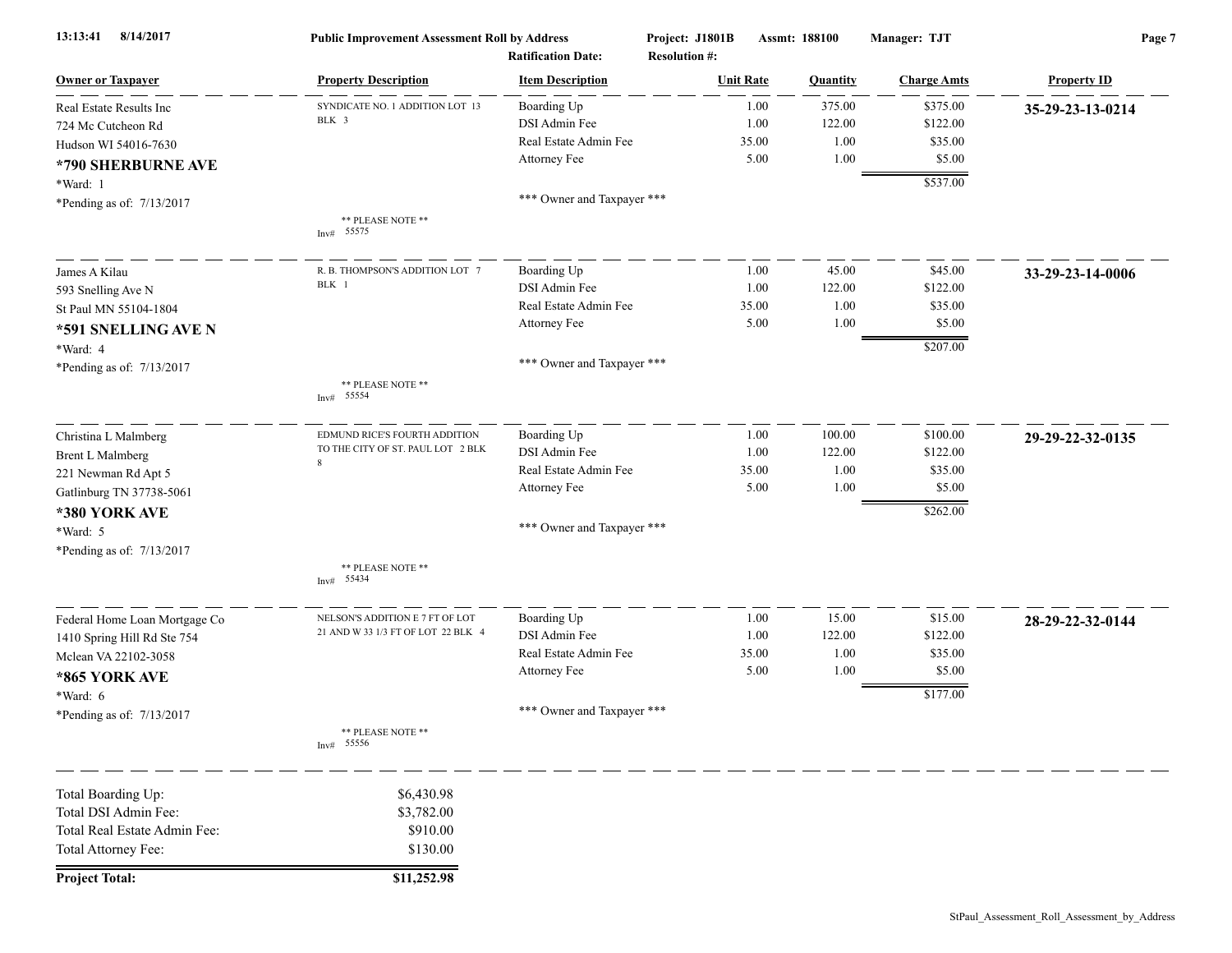| 8/14/2017<br>13:13:41         | <b>Public Improvement Assessment Roll by Address</b><br><b>Ratification Date:</b> |                            | Project: J1801B<br>Assmt: 188100<br><b>Resolution #:</b> |                  |                 | Manager: TJT       | Page 7             |  |
|-------------------------------|-----------------------------------------------------------------------------------|----------------------------|----------------------------------------------------------|------------------|-----------------|--------------------|--------------------|--|
| <b>Owner or Taxpayer</b>      | <b>Property Description</b>                                                       | <b>Item Description</b>    |                                                          | <b>Unit Rate</b> | <b>Quantity</b> | <b>Charge Amts</b> | <b>Property ID</b> |  |
| Real Estate Results Inc       | SYNDICATE NO. 1 ADDITION LOT 13                                                   | Boarding Up                |                                                          | 1.00             | 375.00          | \$375.00           | 35-29-23-13-0214   |  |
| 724 Mc Cutcheon Rd            | BLK 3                                                                             | DSI Admin Fee              |                                                          | 1.00             | 122.00          | \$122.00           |                    |  |
| Hudson WI 54016-7630          |                                                                                   | Real Estate Admin Fee      |                                                          | 35.00            | 1.00            | \$35.00            |                    |  |
| *790 SHERBURNE AVE            |                                                                                   | Attorney Fee               |                                                          | 5.00             | $1.00\,$        | \$5.00             |                    |  |
| *Ward: 1                      |                                                                                   |                            |                                                          |                  |                 | \$537.00           |                    |  |
| *Pending as of: 7/13/2017     |                                                                                   | *** Owner and Taxpayer *** |                                                          |                  |                 |                    |                    |  |
|                               | ** PLEASE NOTE **<br>Inv# 55575                                                   |                            |                                                          |                  |                 |                    |                    |  |
| James A Kilau                 | R. B. THOMPSON'S ADDITION LOT 7                                                   | Boarding Up                |                                                          | 1.00             | 45.00           | \$45.00            | 33-29-23-14-0006   |  |
| 593 Snelling Ave N            | BLK 1                                                                             | DSI Admin Fee              |                                                          | 1.00             | 122.00          | \$122.00           |                    |  |
| St Paul MN 55104-1804         |                                                                                   | Real Estate Admin Fee      |                                                          | 35.00            | 1.00            | \$35.00            |                    |  |
| *591 SNELLING AVE N           |                                                                                   | Attorney Fee               |                                                          | 5.00             | 1.00            | \$5.00             |                    |  |
| *Ward: 4                      |                                                                                   |                            |                                                          |                  |                 | \$207.00           |                    |  |
| *Pending as of: 7/13/2017     |                                                                                   | *** Owner and Taxpayer *** |                                                          |                  |                 |                    |                    |  |
|                               | ** PLEASE NOTE **<br>Inv# 55554                                                   |                            |                                                          |                  |                 |                    |                    |  |
| Christina L Malmberg          | EDMUND RICE'S FOURTH ADDITION                                                     | Boarding Up                |                                                          | 1.00             | 100.00          | \$100.00           | 29-29-22-32-0135   |  |
| <b>Brent L Malmberg</b>       | TO THE CITY OF ST. PAUL LOT 2 BLK                                                 | DSI Admin Fee              |                                                          | 1.00             | 122.00          | \$122.00           |                    |  |
| 221 Newman Rd Apt 5           | 8                                                                                 | Real Estate Admin Fee      |                                                          | 35.00            | 1.00            | \$35.00            |                    |  |
| Gatlinburg TN 37738-5061      |                                                                                   | Attorney Fee               |                                                          | 5.00             | 1.00            | \$5.00             |                    |  |
| *380 YORK AVE                 |                                                                                   |                            |                                                          |                  |                 | \$262.00           |                    |  |
| *Ward: 5                      |                                                                                   | *** Owner and Taxpayer *** |                                                          |                  |                 |                    |                    |  |
| *Pending as of: 7/13/2017     |                                                                                   |                            |                                                          |                  |                 |                    |                    |  |
|                               | ** PLEASE NOTE **<br>Inv# 55434                                                   |                            |                                                          |                  |                 |                    |                    |  |
| Federal Home Loan Mortgage Co | NELSON'S ADDITION E 7 FT OF LOT                                                   | Boarding Up                |                                                          | 1.00             | 15.00           | \$15.00            | 28-29-22-32-0144   |  |
| 1410 Spring Hill Rd Ste 754   | 21 AND W 33 1/3 FT OF LOT 22 BLK 4                                                | DSI Admin Fee              |                                                          | 1.00             | 122.00          | \$122.00           |                    |  |
| Mclean VA 22102-3058          |                                                                                   | Real Estate Admin Fee      |                                                          | 35.00            | 1.00            | \$35.00            |                    |  |
| *865 YORK AVE                 |                                                                                   | Attorney Fee               |                                                          | 5.00             | 1.00            | \$5.00             |                    |  |
| $*Ward: 6$                    |                                                                                   |                            |                                                          |                  |                 | \$177.00           |                    |  |
| *Pending as of: 7/13/2017     |                                                                                   | *** Owner and Taxpayer *** |                                                          |                  |                 |                    |                    |  |
|                               | ** PLEASE NOTE **<br>Inv# 55556                                                   |                            |                                                          |                  |                 |                    |                    |  |
| Total Boarding Up:            | \$6,430.98                                                                        |                            |                                                          |                  |                 |                    |                    |  |
| Total DSI Admin Fee:          | \$3,782.00                                                                        |                            |                                                          |                  |                 |                    |                    |  |
| Total Real Estate Admin Fee:  | \$910.00                                                                          |                            |                                                          |                  |                 |                    |                    |  |
| Total Attorney Fee:           | \$130.00                                                                          |                            |                                                          |                  |                 |                    |                    |  |
| <b>Project Total:</b>         | \$11,252.98                                                                       |                            |                                                          |                  |                 |                    |                    |  |